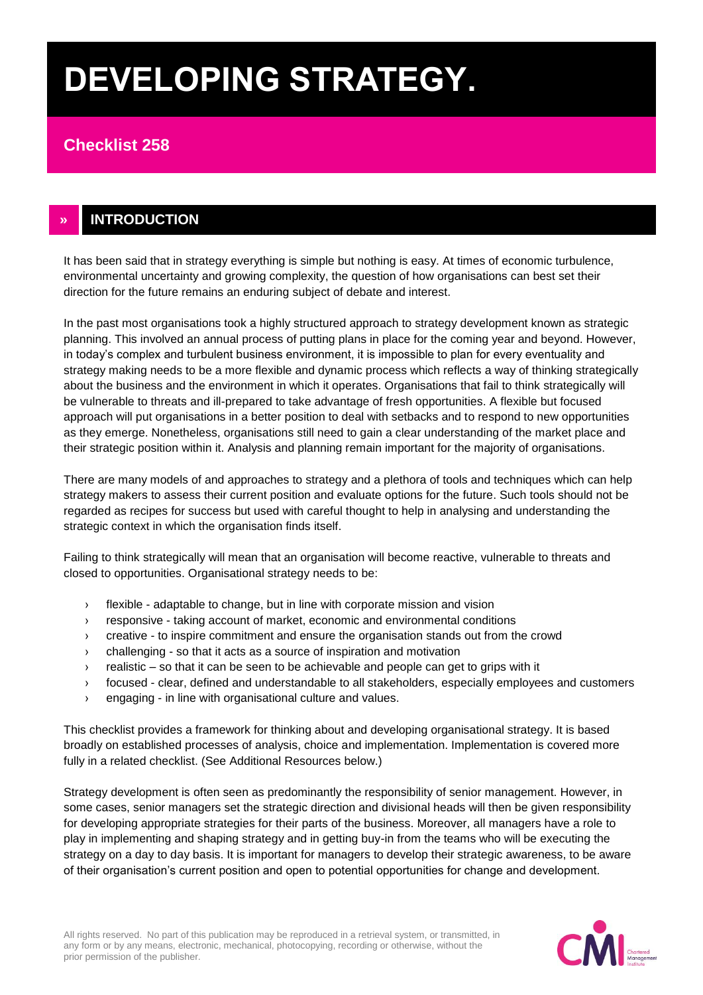# **DEVELOPING STRATEGY.**

# **Checklist 258**

# **» INTRODUCTION**

It has been said that in strategy everything is simple but nothing is easy. At times of economic turbulence, environmental uncertainty and growing complexity, the question of how organisations can best set their direction for the future remains an enduring subject of debate and interest.

In the past most organisations took a highly structured approach to strategy development known as strategic planning. This involved an annual process of putting plans in place for the coming year and beyond. However, in today's complex and turbulent business environment, it is impossible to plan for every eventuality and strategy making needs to be a more flexible and dynamic process which reflects a way of thinking strategically about the business and the environment in which it operates. Organisations that fail to think strategically will be vulnerable to threats and ill-prepared to take advantage of fresh opportunities. A flexible but focused approach will put organisations in a better position to deal with setbacks and to respond to new opportunities as they emerge. Nonetheless, organisations still need to gain a clear understanding of the market place and their strategic position within it. Analysis and planning remain important for the majority of organisations.

There are many models of and approaches to strategy and a plethora of tools and techniques which can help strategy makers to assess their current position and evaluate options for the future. Such tools should not be regarded as recipes for success but used with careful thought to help in analysing and understanding the strategic context in which the organisation finds itself.

Failing to think strategically will mean that an organisation will become reactive, vulnerable to threats and closed to opportunities. Organisational strategy needs to be:

- › flexible adaptable to change, but in line with corporate mission and vision
- › responsive taking account of market, economic and environmental conditions
- › creative to inspire commitment and ensure the organisation stands out from the crowd
- › challenging so that it acts as a source of inspiration and motivation
- $\rightarrow$  realistic so that it can be seen to be achievable and people can get to grips with it
- › focused clear, defined and understandable to all stakeholders, especially employees and customers
- › engaging in line with organisational culture and values.

This checklist provides a framework for thinking about and developing organisational strategy. It is based broadly on established processes of analysis, choice and implementation. Implementation is covered more fully in a related checklist. (See Additional Resources below.)

Strategy development is often seen as predominantly the responsibility of senior management. However, in some cases, senior managers set the strategic direction and divisional heads will then be given responsibility for developing appropriate strategies for their parts of the business. Moreover, all managers have a role to play in implementing and shaping strategy and in getting buy-in from the teams who will be executing the strategy on a day to day basis. It is important for managers to develop their strategic awareness, to be aware of their organisation's current position and open to potential opportunities for change and development.

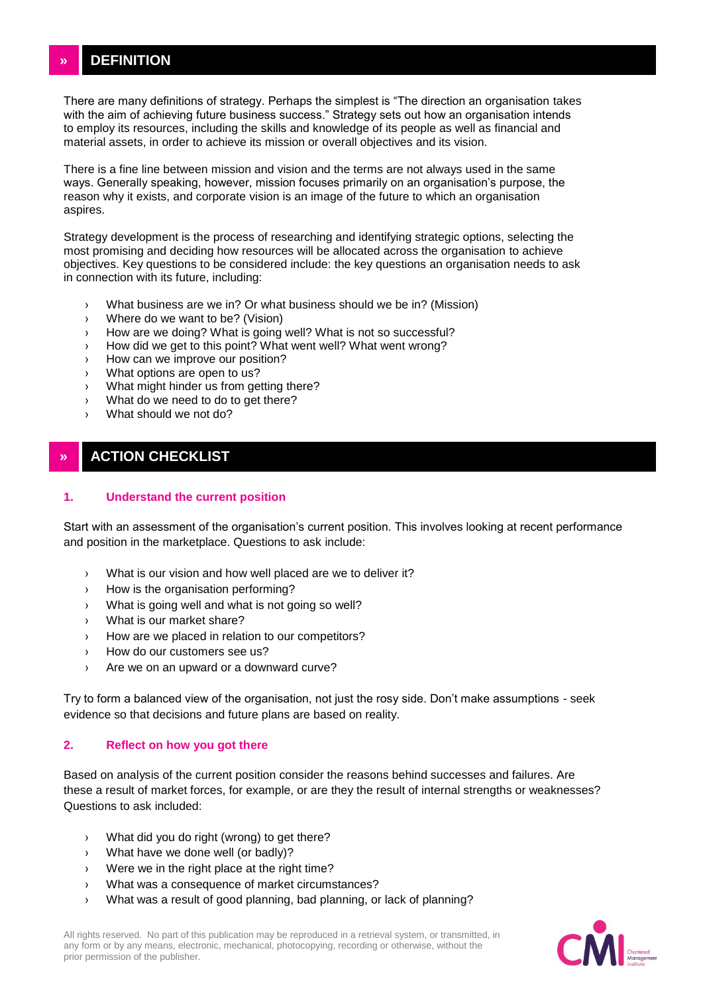There are many definitions of strategy. Perhaps the simplest is "The direction an organisation takes with the aim of achieving future business success." Strategy sets out how an organisation intends to employ its resources, including the skills and knowledge of its people as well as financial and material assets, in order to achieve its mission or overall objectives and its vision.

There is a fine line between mission and vision and the terms are not always used in the same ways. Generally speaking, however, mission focuses primarily on an organisation's purpose, the reason why it exists, and corporate vision is an image of the future to which an organisation aspires.

Strategy development is the process of researching and identifying strategic options, selecting the most promising and deciding how resources will be allocated across the organisation to achieve objectives. Key questions to be considered include: the key questions an organisation needs to ask in connection with its future, including:

- › What business are we in? Or what business should we be in? (Mission)
- › Where do we want to be? (Vision)
- › How are we doing? What is going well? What is not so successful?
- › How did we get to this point? What went well? What went wrong?
- › How can we improve our position?
- › What options are open to us?
- › What might hinder us from getting there?
- › What do we need to do to get there?
- › What should we not do?

# **» ACTION CHECKLIST**

#### **1. Understand the current position**

Start with an assessment of the organisation's current position. This involves looking at recent performance and position in the marketplace. Questions to ask include:

- › What is our vision and how well placed are we to deliver it?
- › How is the organisation performing?
- › What is going well and what is not going so well?
- › What is our market share?
- › How are we placed in relation to our competitors?
- › How do our customers see us?
- › Are we on an upward or a downward curve?

Try to form a balanced view of the organisation, not just the rosy side. Don't make assumptions - seek evidence so that decisions and future plans are based on reality.

#### **2. Reflect on how you got there**

Based on analysis of the current position consider the reasons behind successes and failures. Are these a result of market forces, for example, or are they the result of internal strengths or weaknesses? Questions to ask included:

- › What did you do right (wrong) to get there?
- › What have we done well (or badly)?
- › Were we in the right place at the right time?
- › What was a consequence of market circumstances?
- › What was a result of good planning, bad planning, or lack of planning?

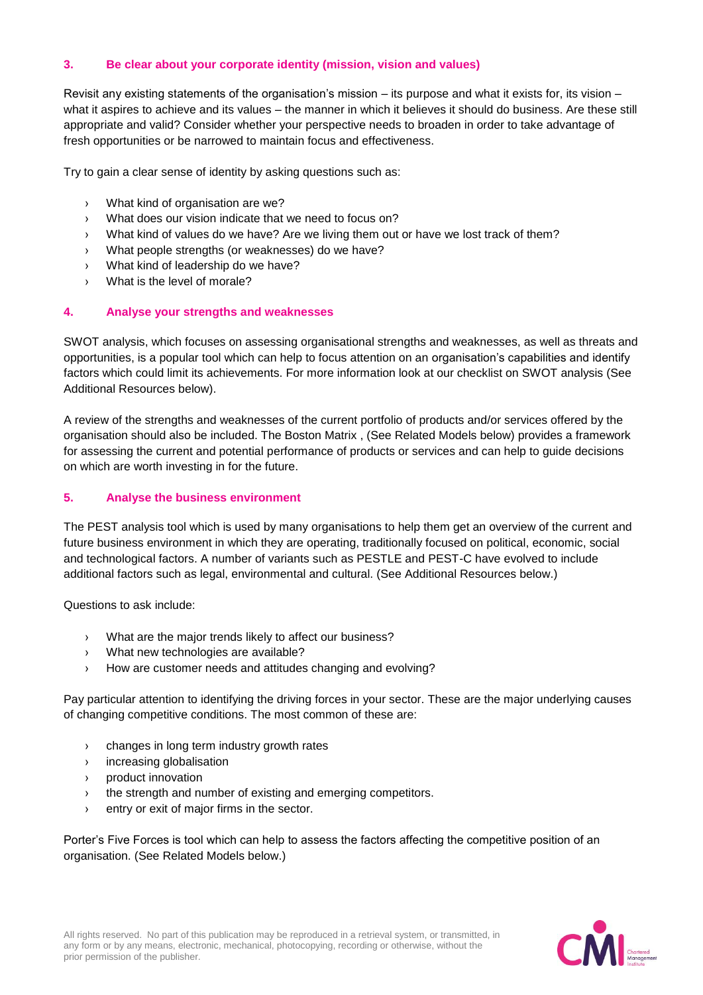#### **3. Be clear about your corporate identity (mission, vision and values)**

Revisit any existing statements of the organisation's mission – its purpose and what it exists for, its vision – what it aspires to achieve and its values – the manner in which it believes it should do business. Are these still appropriate and valid? Consider whether your perspective needs to broaden in order to take advantage of fresh opportunities or be narrowed to maintain focus and effectiveness.

Try to gain a clear sense of identity by asking questions such as:

- › What kind of organisation are we?
- › What does our vision indicate that we need to focus on?
- › What kind of values do we have? Are we living them out or have we lost track of them?
- › What people strengths (or weaknesses) do we have?
- › What kind of leadership do we have?
- › What is the level of morale?

#### **4. Analyse your strengths and weaknesses**

SWOT analysis, which focuses on assessing organisational strengths and weaknesses, as well as threats and opportunities, is a popular tool which can help to focus attention on an organisation's capabilities and identify factors which could limit its achievements. For more information look at our checklist on SWOT analysis (See Additional Resources below).

A review of the strengths and weaknesses of the current portfolio of products and/or services offered by the organisation should also be included. The Boston Matrix , (See Related Models below) provides a framework for assessing the current and potential performance of products or services and can help to guide decisions on which are worth investing in for the future.

#### **5. Analyse the business environment**

The PEST analysis tool which is used by many organisations to help them get an overview of the current and future business environment in which they are operating, traditionally focused on political, economic, social and technological factors. A number of variants such as PESTLE and PEST-C have evolved to include additional factors such as legal, environmental and cultural. (See Additional Resources below.)

Questions to ask include:

- › What are the major trends likely to affect our business?
- › What new technologies are available?
- › How are customer needs and attitudes changing and evolving?

Pay particular attention to identifying the driving forces in your sector. These are the major underlying causes of changing competitive conditions. The most common of these are:

- › changes in long term industry growth rates
- › increasing globalisation
- › product innovation
- › the strength and number of existing and emerging competitors.
- › entry or exit of major firms in the sector.

Porter's Five Forces is tool which can help to assess the factors affecting the competitive position of an organisation. (See Related Models below.)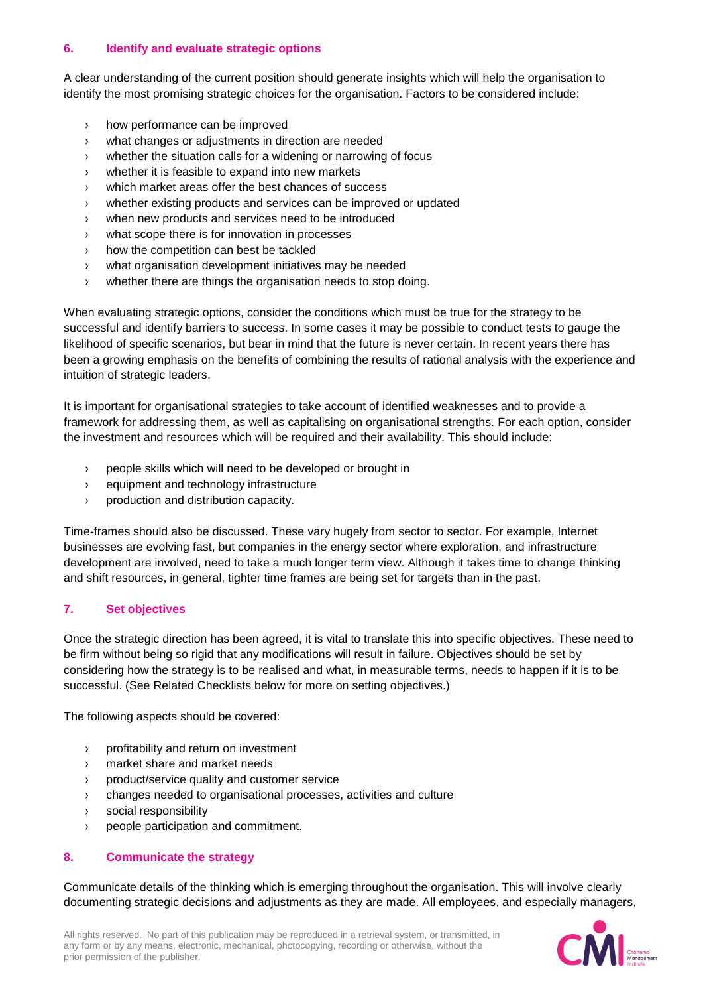#### **6. Identify and evaluate strategic options**

A clear understanding of the current position should generate insights which will help the organisation to identify the most promising strategic choices for the organisation. Factors to be considered include:

- › how performance can be improved
- › what changes or adjustments in direction are needed
- › whether the situation calls for a widening or narrowing of focus
- › whether it is feasible to expand into new markets
- › which market areas offer the best chances of success
- › whether existing products and services can be improved or updated
- › when new products and services need to be introduced
- › what scope there is for innovation in processes
- › how the competition can best be tackled
- › what organisation development initiatives may be needed
- › whether there are things the organisation needs to stop doing.

When evaluating strategic options, consider the conditions which must be true for the strategy to be successful and identify barriers to success. In some cases it may be possible to conduct tests to gauge the likelihood of specific scenarios, but bear in mind that the future is never certain. In recent years there has been a growing emphasis on the benefits of combining the results of rational analysis with the experience and intuition of strategic leaders.

It is important for organisational strategies to take account of identified weaknesses and to provide a framework for addressing them, as well as capitalising on organisational strengths. For each option, consider the investment and resources which will be required and their availability. This should include:

- › people skills which will need to be developed or brought in
- › equipment and technology infrastructure
- › production and distribution capacity.

Time-frames should also be discussed. These vary hugely from sector to sector. For example, Internet businesses are evolving fast, but companies in the energy sector where exploration, and infrastructure development are involved, need to take a much longer term view. Although it takes time to change thinking and shift resources, in general, tighter time frames are being set for targets than in the past.

#### **7. Set objectives**

Once the strategic direction has been agreed, it is vital to translate this into specific objectives. These need to be firm without being so rigid that any modifications will result in failure. Objectives should be set by considering how the strategy is to be realised and what, in measurable terms, needs to happen if it is to be successful. (See Related Checklists below for more on setting objectives.)

The following aspects should be covered:

- › profitability and return on investment
- › market share and market needs
- › product/service quality and customer service
- › changes needed to organisational processes, activities and culture
- › social responsibility
- › people participation and commitment.

#### **8. Communicate the strategy**

Communicate details of the thinking which is emerging throughout the organisation. This will involve clearly documenting strategic decisions and adjustments as they are made. All employees, and especially managers,

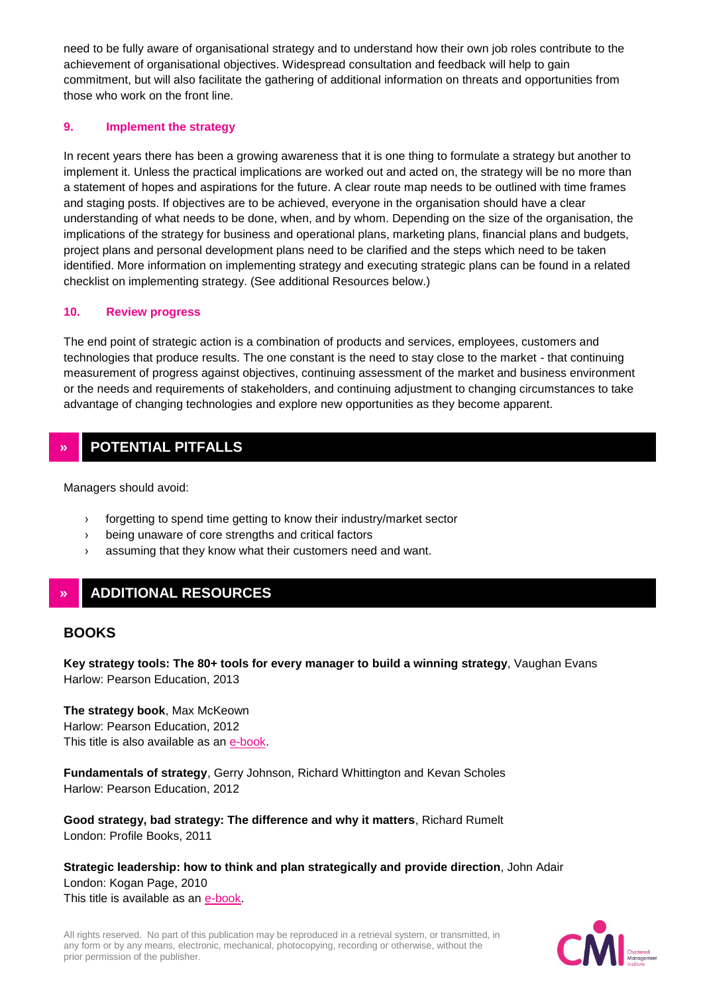need to be fully aware of organisational strategy and to understand how their own job roles contribute to the achievement of organisational objectives. Widespread consultation and feedback will help to gain commitment, but will also facilitate the gathering of additional information on threats and opportunities from those who work on the front line.

#### **9. Implement the strategy**

In recent years there has been a growing awareness that it is one thing to formulate a strategy but another to implement it. Unless the practical implications are worked out and acted on, the strategy will be no more than a statement of hopes and aspirations for the future. A clear route map needs to be outlined with time frames and staging posts. If objectives are to be achieved, everyone in the organisation should have a clear understanding of what needs to be done, when, and by whom. Depending on the size of the organisation, the implications of the strategy for business and operational plans, marketing plans, financial plans and budgets, project plans and personal development plans need to be clarified and the steps which need to be taken identified. More information on implementing strategy and executing strategic plans can be found in a related checklist on implementing strategy. (See additional Resources below.)

#### **10. Review progress**

The end point of strategic action is a combination of products and services, employees, customers and technologies that produce results. The one constant is the need to stay close to the market - that continuing measurement of progress against objectives, continuing assessment of the market and business environment or the needs and requirements of stakeholders, and continuing adjustment to changing circumstances to take advantage of changing technologies and explore new opportunities as they become apparent.

# **» POTENTIAL PITFALLS**

Managers should avoid:

- › forgetting to spend time getting to know their industry/market sector
- › being unaware of core strengths and critical factors
- › assuming that they know what their customers need and want.

# **» ADDITIONAL RESOURCES**

### **BOOKS**

**Key strategy tools: The 80+ tools for every manager to build a winning strategy**, Vaughan Evans Harlow: Pearson Education, 2013

**The strategy book**, Max McKeown Harlow: Pearson Education, 2012 This title is also available as an [e-book.](http://www.managers.org.uk/ebooks)

**Fundamentals of strategy**, Gerry Johnson, Richard Whittington and Kevan Scholes Harlow: Pearson Education, 2012

**Good strategy, bad strategy: The difference and why it matters**, Richard Rumelt London: Profile Books, 2011

**Strategic leadership: how to think and plan strategically and provide direction**, John Adair London: Kogan Page, 2010 This title is available as an [e-book.](http://www.managers.org.uk/ebooks)

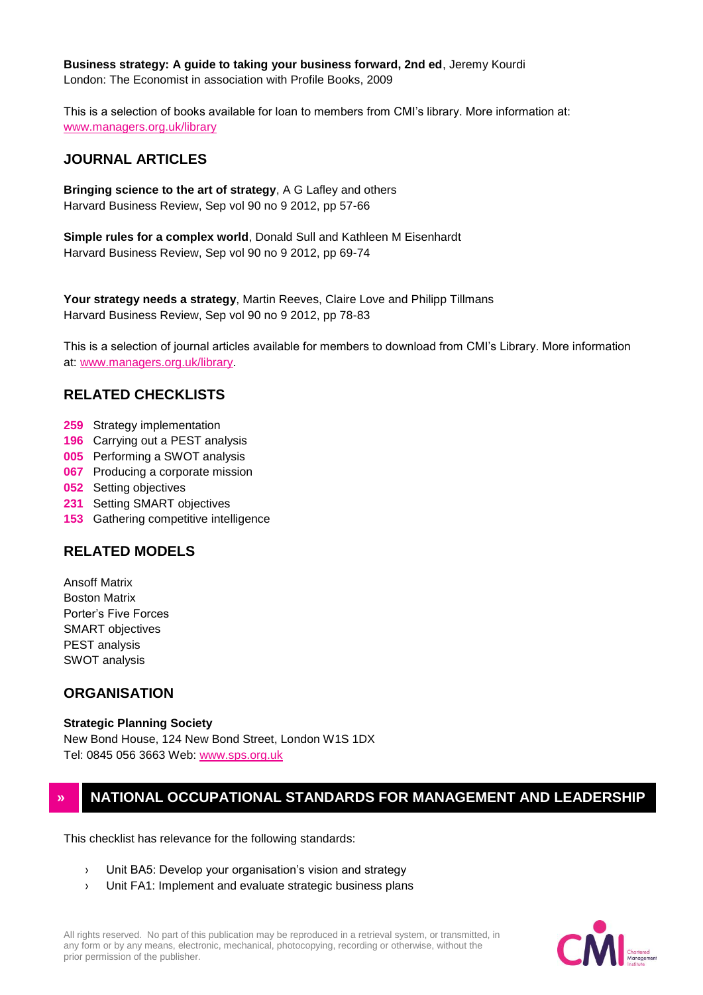**Business strategy: A guide to taking your business forward, 2nd ed**, Jeremy Kourdi London: The Economist in association with Profile Books, 2009

This is a selection of books available for loan to members from CMI's library. More information at: [www.managers.org.uk/library](http://www.managers.org.uk/library)

## **JOURNAL ARTICLES**

**Bringing science to the art of strategy**, A G Lafley and others Harvard Business Review, Sep vol 90 no 9 2012, pp 57-66

**Simple rules for a complex world**, Donald Sull and Kathleen M Eisenhardt Harvard Business Review, Sep vol 90 no 9 2012, pp 69-74

**Your strategy needs a strategy**, Martin Reeves, Claire Love and Philipp Tillmans Harvard Business Review, Sep vol 90 no 9 2012, pp 78-83

This is a selection of journal articles available for members to download from CMI's Library. More information at: [www.managers.org.uk/library.](http://www.managers.org.uk/library)

## **RELATED CHECKLISTS**

- **259** Strategy implementation
- **196** Carrying out a PEST analysis
- **005** Performing a SWOT analysis
- **067** Producing a corporate mission
- **052** Setting objectives
- **231** Setting SMART objectives
- **153** Gathering competitive intelligence

## **RELATED MODELS**

Ansoff Matrix Boston Matrix Porter's Five Forces SMART objectives PEST analysis SWOT analysis

## **ORGANISATION**

#### **Strategic Planning Society**

New Bond House, 124 New Bond Street, London W1S 1DX Tel: 0845 056 3663 Web: [www.sps.org.uk](http://www.sps.org.uk/)

## **» NATIONAL OCCUPATIONAL STANDARDS FOR MANAGEMENT AND LEADERSHIP**

This checklist has relevance for the following standards:

- › Unit BA5: Develop your organisation's vision and strategy
- › Unit FA1: Implement and evaluate strategic business plans